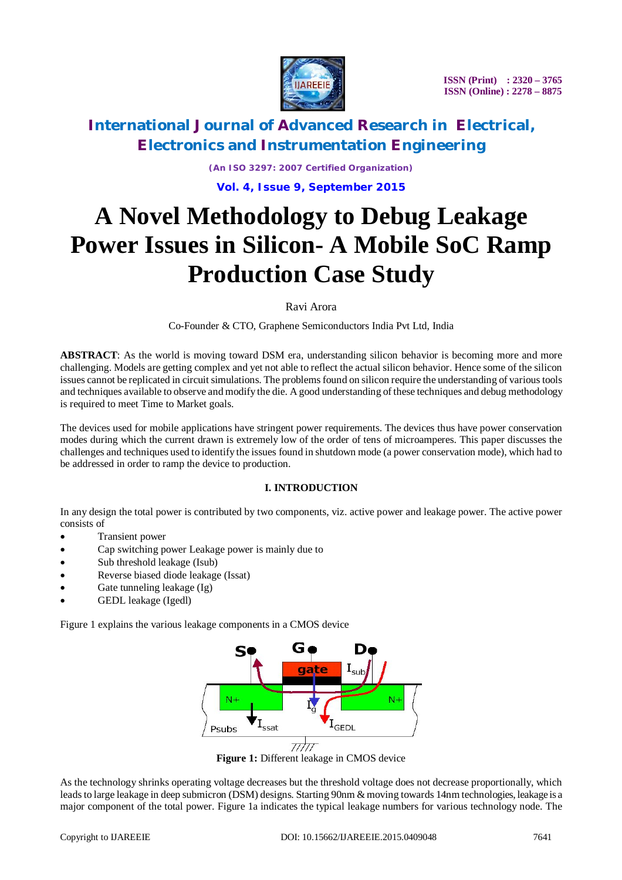

*(An ISO 3297: 2007 Certified Organization)* **Vol. 4, Issue 9, September 2015**

# **A Novel Methodology to Debug Leakage Power Issues in Silicon- A Mobile SoC Ramp Production Case Study**

Ravi Arora

Co-Founder & CTO, Graphene Semiconductors India Pvt Ltd, India

**ABSTRACT**: As the world is moving toward DSM era, understanding silicon behavior is becoming more and more challenging. Models are getting complex and yet not able to reflect the actual silicon behavior. Hence some of the silicon issues cannot be replicated in circuit simulations. The problems found on silicon require the understanding of various tools and techniques available to observe and modify the die. A good understanding of these techniques and debug methodology is required to meet Time to Market goals.

The devices used for mobile applications have stringent power requirements. The devices thus have power conservation modes during which the current drawn is extremely low of the order of tens of microamperes. This paper discusses the challenges and techniques used to identify the issues found in shutdown mode (a power conservation mode), which had to be addressed in order to ramp the device to production.

#### **I. INTRODUCTION**

In any design the total power is contributed by two components, viz. active power and leakage power. The active power consists of

- Transient power
- Cap switching power Leakage power is mainly due to
- Sub threshold leakage (Isub)
- Reverse biased diode leakage (Issat)
- Gate tunneling leakage (Ig)
- GEDL leakage (Igedl)

Figure 1 explains the various leakage components in a CMOS device



**Figure 1:** Different leakage in CMOS device

As the technology shrinks operating voltage decreases but the threshold voltage does not decrease proportionally, which leads to large leakage in deep submicron (DSM) designs. Starting 90nm & moving towards 14nm technologies, leakage is a major component of the total power. Figure 1a indicates the typical leakage numbers for various technology node. The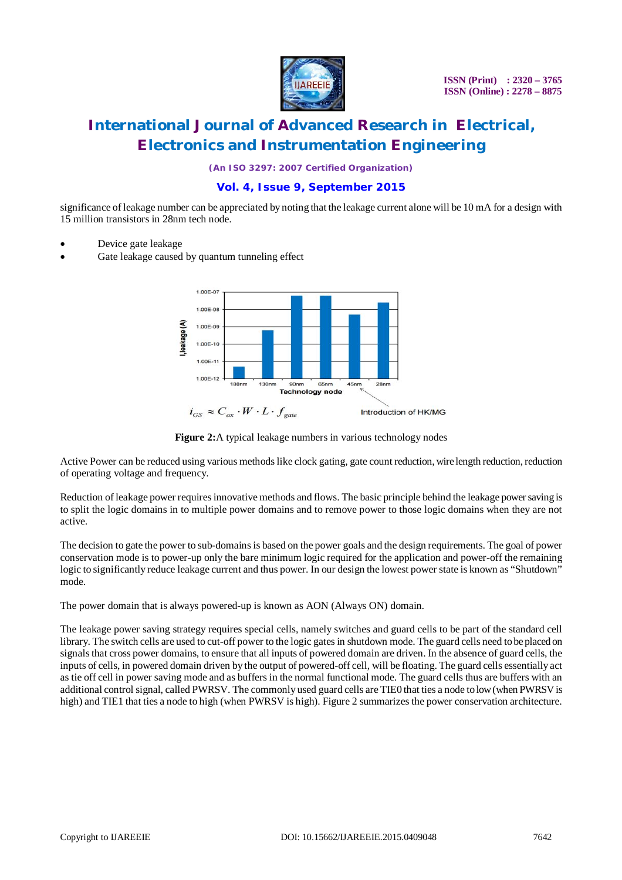

*(An ISO 3297: 2007 Certified Organization)*

### **Vol. 4, Issue 9, September 2015**

significance of leakage number can be appreciated by noting that the leakage current alone will be 10 mA for a design with 15 million transistors in 28nm tech node.

- Device gate leakage
- Gate leakage caused by quantum tunneling effect



**Figure 2:**A typical leakage numbers in various technology nodes

Active Power can be reduced using various methods like clock gating, gate count reduction, wire length reduction, reduction of operating voltage and frequency.

Reduction of leakage power requires innovative methods and flows. The basic principle behind the leakage power saving is to split the logic domains in to multiple power domains and to remove power to those logic domains when they are not active.

The decision to gate the power to sub-domains is based on the power goals and the design requirements. The goal of power conservation mode is to power-up only the bare minimum logic required for the application and power-off the remaining logic to significantly reduce leakage current and thus power. In our design the lowest power state is known as "Shutdown" mode.

The power domain that is always powered-up is known as AON (Always ON) domain.

The leakage power saving strategy requires special cells, namely switches and guard cells to be part of the standard cell library. The switch cells are used to cut-off power to the logic gates in shutdown mode. The guard cells need to be placed on signals that cross power domains, to ensure that all inputs of powered domain are driven. In the absence of guard cells, the inputs of cells, in powered domain driven by the output of powered-off cell, will be floating. The guard cells essentially act as tie off cell in power saving mode and as buffers in the normal functional mode. The guard cells thus are buffers with an additional control signal, called PWRSV. The commonly used guard cells are TIE0 that ties a node to low (when PWRSV is high) and TIE1 that ties a node to high (when PWRSV is high). Figure 2 summarizes the power conservation architecture.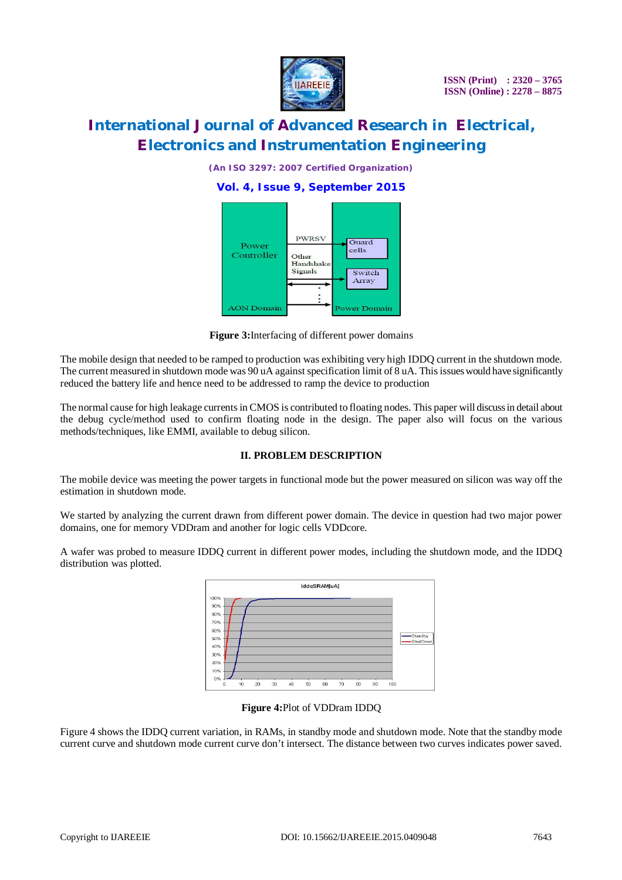

*(An ISO 3297: 2007 Certified Organization)*

**Vol. 4, Issue 9, September 2015**



**Figure 3:**Interfacing of different power domains

The mobile design that needed to be ramped to production was exhibiting very high IDDQ current in the shutdown mode. The current measured in shutdown mode was 90 uA against specification limit of 8 uA. This issues would have significantly reduced the battery life and hence need to be addressed to ramp the device to production

The normal cause for high leakage currents in CMOS is contributed to floating nodes. This paper will discuss in detail about the debug cycle/method used to confirm floating node in the design. The paper also will focus on the various methods/techniques, like EMMI, available to debug silicon.

### **II. PROBLEM DESCRIPTION**

The mobile device was meeting the power targets in functional mode but the power measured on silicon was way off the estimation in shutdown mode.

We started by analyzing the current drawn from different power domain. The device in question had two major power domains, one for memory VDDram and another for logic cells VDDcore.

A wafer was probed to measure IDDQ current in different power modes, including the shutdown mode, and the IDDQ distribution was plotted.

| 100%       |  |  |  |  |  |           |
|------------|--|--|--|--|--|-----------|
| 90%        |  |  |  |  |  |           |
| 80%        |  |  |  |  |  |           |
| 70%        |  |  |  |  |  |           |
| 60%        |  |  |  |  |  | -Standby  |
| 50%        |  |  |  |  |  | -ShutDown |
| 40%<br>30% |  |  |  |  |  |           |
| 20%        |  |  |  |  |  |           |
| 10%        |  |  |  |  |  |           |
|            |  |  |  |  |  |           |

**Figure 4:**Plot of VDDram IDDQ

Figure 4 shows the IDDQ current variation, in RAMs, in standby mode and shutdown mode. Note that the standby mode current curve and shutdown mode current curve don't intersect. The distance between two curves indicates power saved.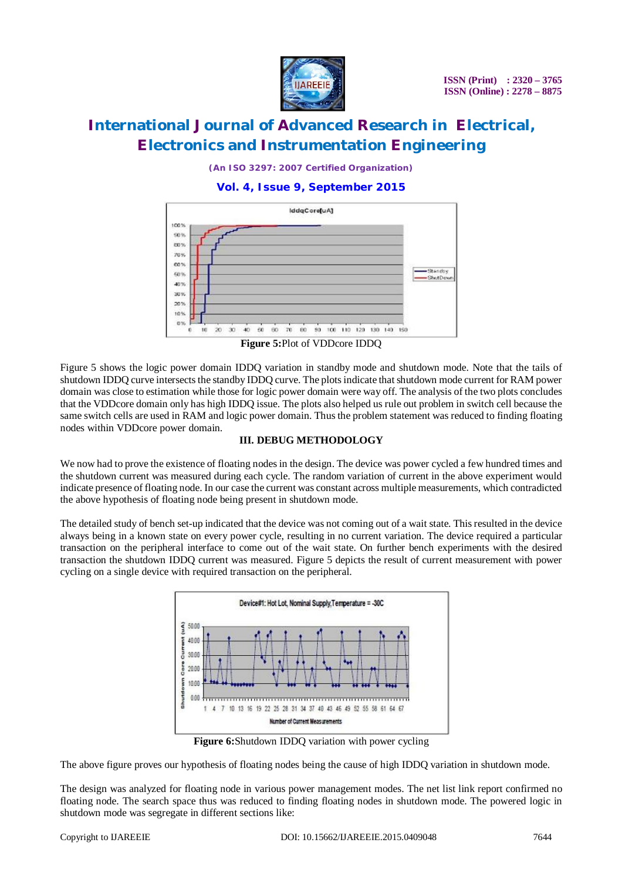

*(An ISO 3297: 2007 Certified Organization)*

**Vol. 4, Issue 9, September 2015**



**Figure 5:**Plot of VDDcore IDDQ

Figure 5 shows the logic power domain IDDQ variation in standby mode and shutdown mode. Note that the tails of shutdown IDDQ curve intersects the standby IDDQ curve. The plots indicate that shutdown mode current for RAM power domain was close to estimation while those for logic power domain were way off. The analysis of the two plots concludes that the VDDcore domain only has high IDDQ issue. The plots also helped us rule out problem in switch cell because the same switch cells are used in RAM and logic power domain. Thus the problem statement was reduced to finding floating nodes within VDDcore power domain.

#### **III. DEBUG METHODOLOGY**

We now had to prove the existence of floating nodes in the design. The device was power cycled a few hundred times and the shutdown current was measured during each cycle. The random variation of current in the above experiment would indicate presence of floating node. In our case the current was constant across multiple measurements, which contradicted the above hypothesis of floating node being present in shutdown mode.

The detailed study of bench set-up indicated that the device was not coming out of a wait state. This resulted in the device always being in a known state on every power cycle, resulting in no current variation. The device required a particular transaction on the peripheral interface to come out of the wait state. On further bench experiments with the desired transaction the shutdown IDDQ current was measured. Figure 5 depicts the result of current measurement with power cycling on a single device with required transaction on the peripheral.



**Figure 6:**Shutdown IDDQ variation with power cycling

The above figure proves our hypothesis of floating nodes being the cause of high IDDQ variation in shutdown mode.

The design was analyzed for floating node in various power management modes. The net list link report confirmed no floating node. The search space thus was reduced to finding floating nodes in shutdown mode. The powered logic in shutdown mode was segregate in different sections like: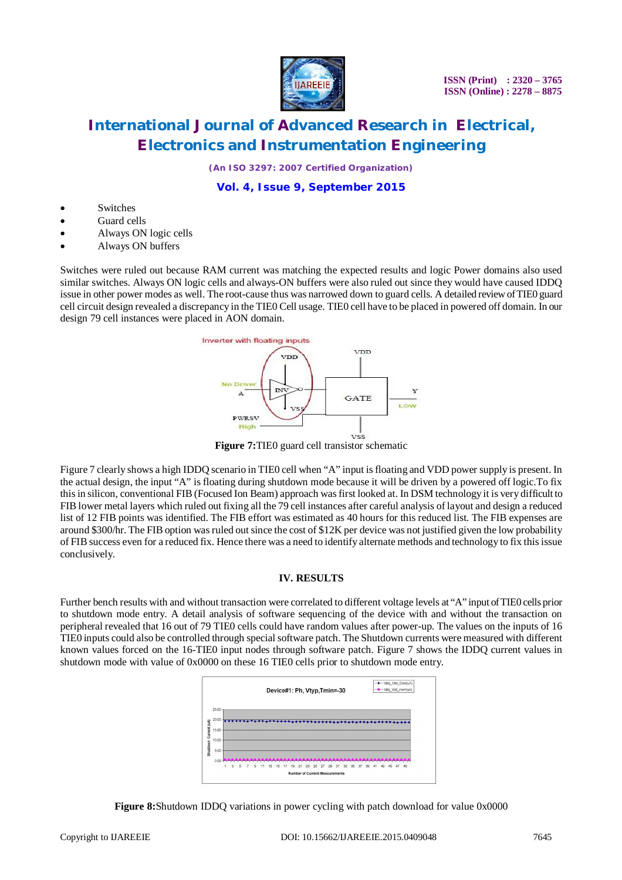

 **ISSN (Print) : 2320 – 3765 ISSN (Online) : 2278 – 8875**

### **International Journal of Advanced Research in Electrical, Electronics and Instrumentation Engineering**

*(An ISO 3297: 2007 Certified Organization)*

### **Vol. 4, Issue 9, September 2015**

- Switches
- Guard cells
- Always ON logic cells
- Always ON buffers

Switches were ruled out because RAM current was matching the expected results and logic Power domains also used similar switches. Always ON logic cells and always-ON buffers were also ruled out since they would have caused IDDQ issue in other power modes as well. The root-cause thus was narrowed down to guard cells. A detailed review of TIE0 guard cell circuit design revealed a discrepancy in the TIE0 Cell usage. TIE0 cell have to be placed in powered off domain. In our design 79 cell instances were placed in AON domain.



**Figure 7:**TIE0 guard cell transistor schematic

Figure 7 clearly shows a high IDDQ scenario in TIE0 cell when "A" input is floating and VDD power supply is present. In the actual design, the input "A" is floating during shutdown mode because it will be driven by a powered off logic.To fix this in silicon, conventional FIB (Focused Ion Beam) approach was first looked at. In DSM technology it is very difficult to FIB lower metal layers which ruled out fixing all the 79 cell instances after careful analysis of layout and design a reduced list of 12 FIB points was identified. The FIB effort was estimated as 40 hours for this reduced list. The FIB expenses are around \$300/hr. The FIB option was ruled out since the cost of \$12K per device was not justified given the low probability of FIB success even for a reduced fix. Hence there was a need to identify alternate methods and technology to fix this issue conclusively.

#### **IV. RESULTS**

Further bench results with and without transaction were correlated to different voltage levels at "A" input of TIE0 cells prior to shutdown mode entry. A detail analysis of software sequencing of the device with and without the transaction on peripheral revealed that 16 out of 79 TIE0 cells could have random values after power-up. The values on the inputs of 16 TIE0 inputs could also be controlled through special software patch. The Shutdown currents were measured with different known values forced on the 16-TIE0 input nodes through software patch. Figure 7 shows the IDDQ current values in shutdown mode with value of 0x0000 on these 16 TIE0 cells prior to shutdown mode entry.



**Figure 8:**Shutdown IDDQ variations in power cycling with patch download for value 0x0000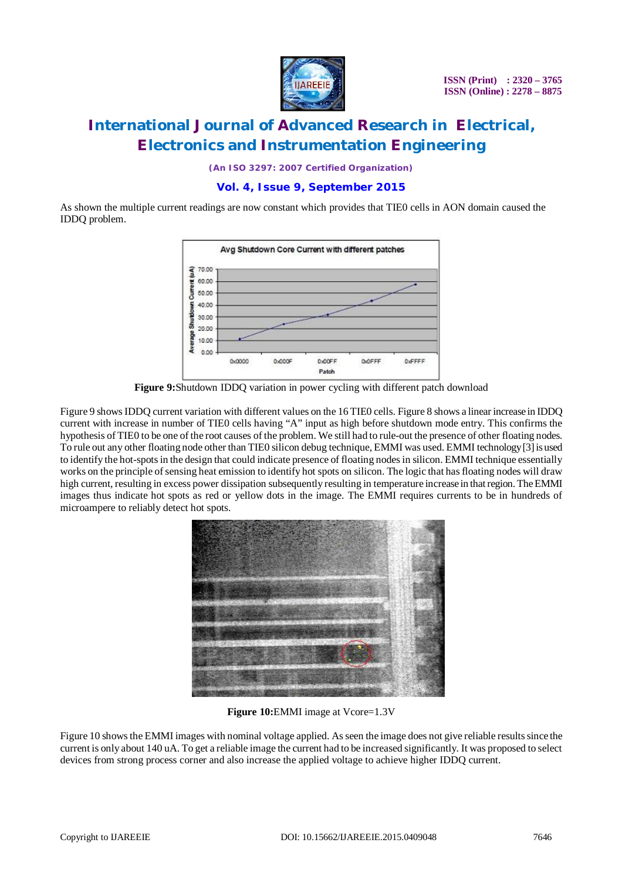

*(An ISO 3297: 2007 Certified Organization)*

### **Vol. 4, Issue 9, September 2015**

As shown the multiple current readings are now constant which provides that TIE0 cells in AON domain caused the IDDQ problem.



**Figure 9:**Shutdown IDDQ variation in power cycling with different patch download

Figure 9 shows IDDQ current variation with different values on the 16 TIE0 cells. Figure 8 shows a linear increase in IDDQ current with increase in number of TIE0 cells having "A" input as high before shutdown mode entry. This confirms the hypothesis of TIE0 to be one of the root causes of the problem. We still had to rule-out the presence of other floating nodes. To rule out any other floating node other than TIE0 silicon debug technique, EMMI was used. EMMI technology [3] is used to identify the hot-spots in the design that could indicate presence of floating nodes in silicon. EMMI technique essentially works on the principle of sensing heat emission to identify hot spots on silicon. The logic that has floating nodes will draw high current, resulting in excess power dissipation subsequently resulting in temperature increase in that region. The EMMI images thus indicate hot spots as red or yellow dots in the image. The EMMI requires currents to be in hundreds of microampere to reliably detect hot spots.



**Figure 10:**EMMI image at Vcore=1.3V

Figure 10 shows the EMMI images with nominal voltage applied. As seen the image does not give reliable results since the current is only about 140 uA. To get a reliable image the current had to be increased significantly. It was proposed to select devices from strong process corner and also increase the applied voltage to achieve higher IDDQ current.